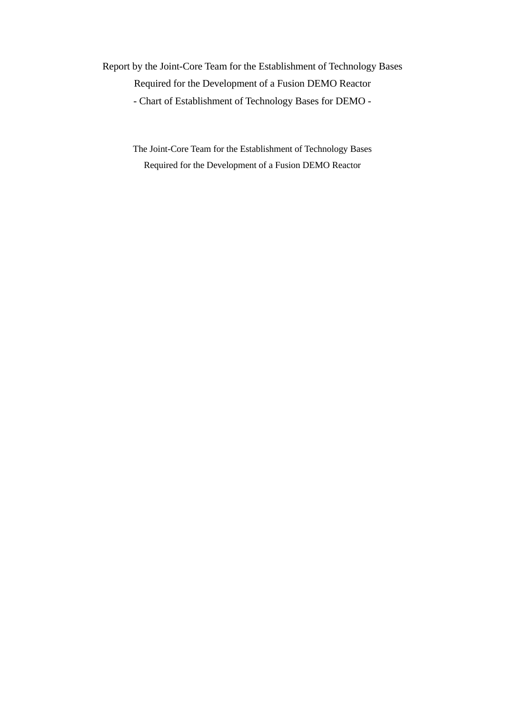Report by the Joint-Core Team for the Establishment of Technology Bases Required for the Development of a Fusion DEMO Reactor - Chart of Establishment of Technology Bases for DEMO -

> The Joint-Core Team for the Establishment of Technology Bases Required for the Development of a Fusion DEMO Reactor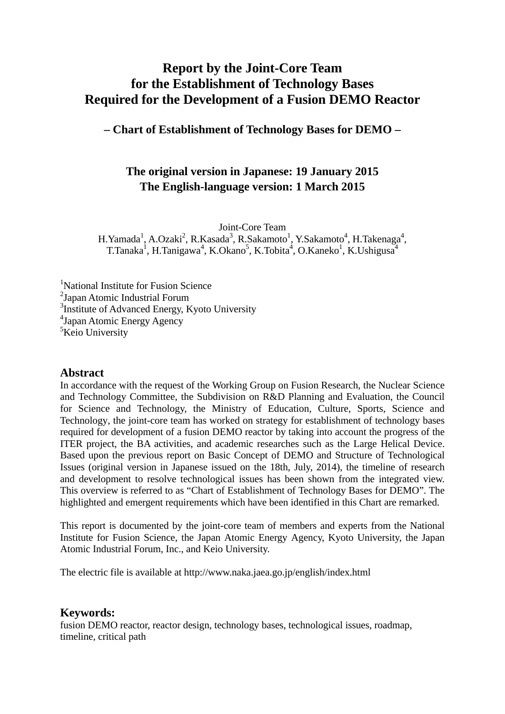# **Report by the Joint-Core Team for the Establishment of Technology Bases Required for the Development of a Fusion DEMO Reactor**

**– Chart of Establishment of Technology Bases for DEMO –** 

# **The original version in Japanese: 19 January 2015 The English-language version: 1 March 2015**

Joint-Core Team

H. Yamada<sup>1</sup>, A.Ozaki<sup>2</sup>, R.Kasada<sup>3</sup>, R.Sakamoto<sup>1</sup>, Y.Sakamoto<sup>4</sup>, H.Takenaga<sup>4</sup>, T.Tanaka<sup>1</sup>, H.Tanigawa<sup>4</sup>, K.Okano<sup>5</sup>, K.Tobita<sup>4</sup>, O.Kaneko<sup>1</sup>, K.Ushigusa<sup>4</sup>

<sup>1</sup>National Institute for Fusion Science <sup>2</sup>Japan Atomic Industrial Forum <sup>3</sup>Institute of Advanced Energy, Kyoto University 4 Japan Atomic Energy Agency <sup>5</sup>Keio University

## **Abstract**

In accordance with the request of the Working Group on Fusion Research, the Nuclear Science and Technology Committee, the Subdivision on R&D Planning and Evaluation, the Council for Science and Technology, the Ministry of Education, Culture, Sports, Science and Technology, the joint-core team has worked on strategy for establishment of technology bases required for development of a fusion DEMO reactor by taking into account the progress of the ITER project, the BA activities, and academic researches such as the Large Helical Device. Based upon the previous report on Basic Concept of DEMO and Structure of Technological Issues (original version in Japanese issued on the 18th, July, 2014), the timeline of research and development to resolve technological issues has been shown from the integrated view. This overview is referred to as "Chart of Establishment of Technology Bases for DEMO". The highlighted and emergent requirements which have been identified in this Chart are remarked.

This report is documented by the joint-core team of members and experts from the National Institute for Fusion Science, the Japan Atomic Energy Agency, Kyoto University, the Japan Atomic Industrial Forum, Inc., and Keio University.

The electric file is available at http://www.naka.jaea.go.jp/english/index.html

## **Keywords:**

fusion DEMO reactor, reactor design, technology bases, technological issues, roadmap, timeline, critical path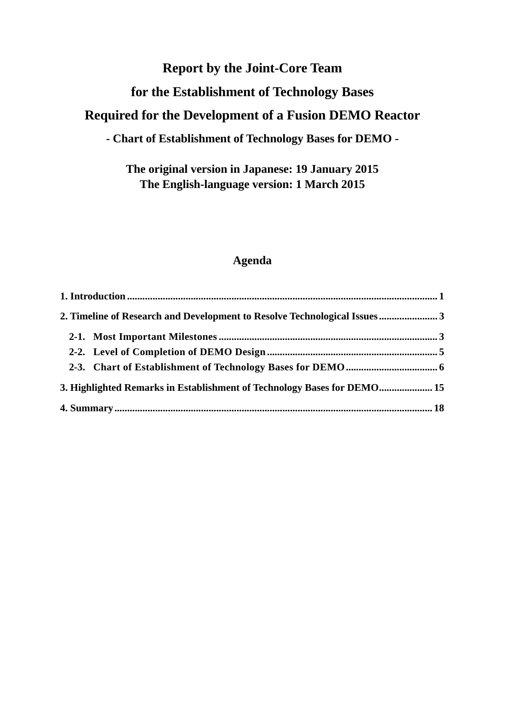# **Report by the Joint-Core Team**

# **for the Establishment of Technology Bases**

# **Required for the Development of a Fusion DEMO Reactor**

# **- Chart of Establishment of Technology Bases for DEMO -**

# **The original version in Japanese: 19 January 2015 The English-language version: 1 March 2015**

## **Agenda**

| 2. Timeline of Research and Development to Resolve Technological Issues3 |  |
|--------------------------------------------------------------------------|--|
|                                                                          |  |
|                                                                          |  |
|                                                                          |  |
| 3. Highlighted Remarks in Establishment of Technology Bases for DEMO 15  |  |
|                                                                          |  |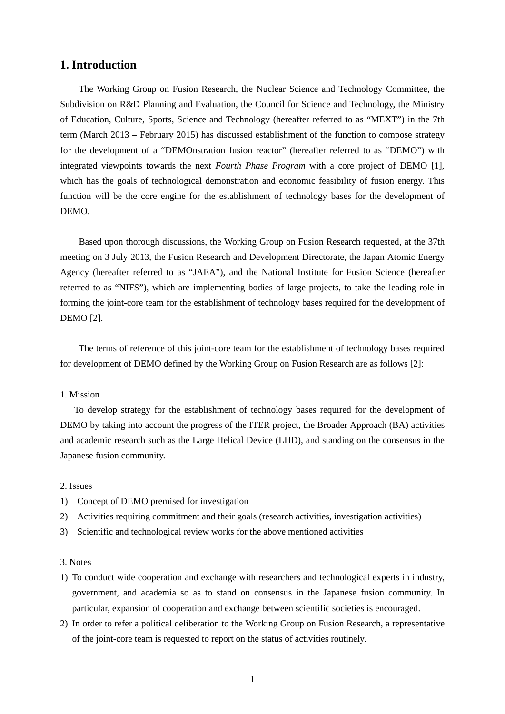## **1. Introduction**

 The Working Group on Fusion Research, the Nuclear Science and Technology Committee, the Subdivision on R&D Planning and Evaluation, the Council for Science and Technology, the Ministry of Education, Culture, Sports, Science and Technology (hereafter referred to as "MEXT") in the 7th term (March 2013 – February 2015) has discussed establishment of the function to compose strategy for the development of a "DEMOnstration fusion reactor" (hereafter referred to as "DEMO") with integrated viewpoints towards the next *Fourth Phase Program* with a core project of DEMO [1], which has the goals of technological demonstration and economic feasibility of fusion energy. This function will be the core engine for the establishment of technology bases for the development of DEMO.

 Based upon thorough discussions, the Working Group on Fusion Research requested, at the 37th meeting on 3 July 2013, the Fusion Research and Development Directorate, the Japan Atomic Energy Agency (hereafter referred to as "JAEA"), and the National Institute for Fusion Science (hereafter referred to as "NIFS"), which are implementing bodies of large projects, to take the leading role in forming the joint-core team for the establishment of technology bases required for the development of DEMO [2].

 The terms of reference of this joint-core team for the establishment of technology bases required for development of DEMO defined by the Working Group on Fusion Research are as follows [2]:

### 1. Mission

 To develop strategy for the establishment of technology bases required for the development of DEMO by taking into account the progress of the ITER project, the Broader Approach (BA) activities and academic research such as the Large Helical Device (LHD), and standing on the consensus in the Japanese fusion community.

### 2. Issues

- 1) Concept of DEMO premised for investigation
- 2) Activities requiring commitment and their goals (research activities, investigation activities)
- 3) Scientific and technological review works for the above mentioned activities

### 3. Notes

- 1) To conduct wide cooperation and exchange with researchers and technological experts in industry, government, and academia so as to stand on consensus in the Japanese fusion community. In particular, expansion of cooperation and exchange between scientific societies is encouraged.
- 2) In order to refer a political deliberation to the Working Group on Fusion Research, a representative of the joint-core team is requested to report on the status of activities routinely.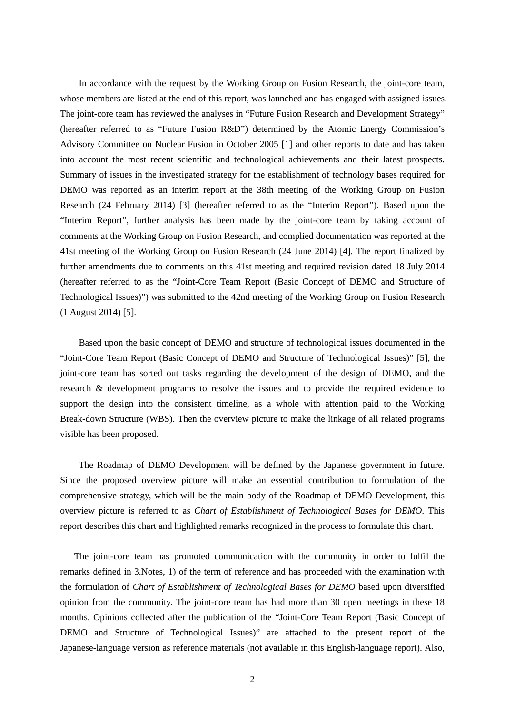In accordance with the request by the Working Group on Fusion Research, the joint-core team, whose members are listed at the end of this report, was launched and has engaged with assigned issues. The joint-core team has reviewed the analyses in "Future Fusion Research and Development Strategy" (hereafter referred to as "Future Fusion R&D") determined by the Atomic Energy Commission's Advisory Committee on Nuclear Fusion in October 2005 [1] and other reports to date and has taken into account the most recent scientific and technological achievements and their latest prospects. Summary of issues in the investigated strategy for the establishment of technology bases required for DEMO was reported as an interim report at the 38th meeting of the Working Group on Fusion Research (24 February 2014) [3] (hereafter referred to as the "Interim Report"). Based upon the "Interim Report", further analysis has been made by the joint-core team by taking account of comments at the Working Group on Fusion Research, and complied documentation was reported at the 41st meeting of the Working Group on Fusion Research (24 June 2014) [4]. The report finalized by further amendments due to comments on this 41st meeting and required revision dated 18 July 2014 (hereafter referred to as the "Joint-Core Team Report (Basic Concept of DEMO and Structure of Technological Issues)") was submitted to the 42nd meeting of the Working Group on Fusion Research (1 August 2014) [5].

 Based upon the basic concept of DEMO and structure of technological issues documented in the "Joint-Core Team Report (Basic Concept of DEMO and Structure of Technological Issues)" [5], the joint-core team has sorted out tasks regarding the development of the design of DEMO, and the research & development programs to resolve the issues and to provide the required evidence to support the design into the consistent timeline, as a whole with attention paid to the Working Break-down Structure (WBS). Then the overview picture to make the linkage of all related programs visible has been proposed.

 The Roadmap of DEMO Development will be defined by the Japanese government in future. Since the proposed overview picture will make an essential contribution to formulation of the comprehensive strategy, which will be the main body of the Roadmap of DEMO Development, this overview picture is referred to as *Chart of Establishment of Technological Bases for DEMO*. This report describes this chart and highlighted remarks recognized in the process to formulate this chart.

 The joint-core team has promoted communication with the community in order to fulfil the remarks defined in 3.Notes, 1) of the term of reference and has proceeded with the examination with the formulation of *Chart of Establishment of Technological Bases for DEMO* based upon diversified opinion from the community. The joint-core team has had more than 30 open meetings in these 18 months. Opinions collected after the publication of the "Joint-Core Team Report (Basic Concept of DEMO and Structure of Technological Issues)" are attached to the present report of the Japanese-language version as reference materials (not available in this English-language report). Also,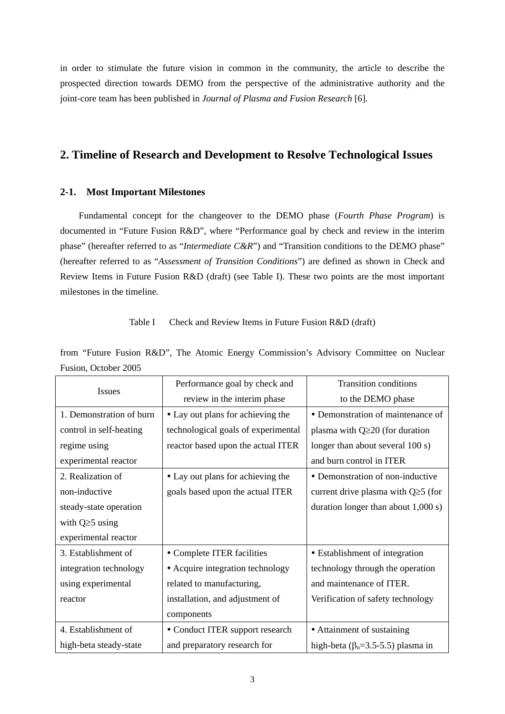in order to stimulate the future vision in common in the community, the article to describe the prospected direction towards DEMO from the perspective of the administrative authority and the joint-core team has been published in *Journal of Plasma and Fusion Research* [6].

## **2. Timeline of Research and Development to Resolve Technological Issues**

### **2-1. Most Important Milestones**

 Fundamental concept for the changeover to the DEMO phase (*Fourth Phase Program*) is documented in "Future Fusion R&D", where "Performance goal by check and review in the interim phase" (hereafter referred to as "*Intermediate C&R*") and "Transition conditions to the DEMO phase" (hereafter referred to as "*Assessment of Transition Conditions*") are defined as shown in Check and Review Items in Future Fusion R&D (draft) (see Table I). These two points are the most important milestones in the timeline.

Table I Check and Review Items in Future Fusion R&D (draft)

from "Future Fusion R&D", The Atomic Energy Commission's Advisory Committee on Nuclear Fusion, October 2005

| Issues                   | Performance goal by check and       | <b>Transition conditions</b>                  |  |  |  |  |
|--------------------------|-------------------------------------|-----------------------------------------------|--|--|--|--|
|                          | review in the interim phase         | to the DEMO phase                             |  |  |  |  |
| 1. Demonstration of burn | • Lay out plans for achieving the   | • Demonstration of maintenance of             |  |  |  |  |
| control in self-heating  | technological goals of experimental | plasma with $Q \ge 20$ (for duration          |  |  |  |  |
| regime using             | reactor based upon the actual ITER  | longer than about several 100 s)              |  |  |  |  |
| experimental reactor     |                                     | and burn control in ITER                      |  |  |  |  |
| 2. Realization of        | • Lay out plans for achieving the   | • Demonstration of non-inductive              |  |  |  |  |
| non-inductive            | goals based upon the actual ITER    | current drive plasma with $Q \ge 5$ (for      |  |  |  |  |
| steady-state operation   |                                     | duration longer than about $1,000$ s)         |  |  |  |  |
| with $Q \ge 5$ using     |                                     |                                               |  |  |  |  |
| experimental reactor     |                                     |                                               |  |  |  |  |
| 3. Establishment of      | • Complete ITER facilities          | • Establishment of integration                |  |  |  |  |
| integration technology   | • Acquire integration technology    | technology through the operation              |  |  |  |  |
| using experimental       | related to manufacturing,           | and maintenance of ITER.                      |  |  |  |  |
| reactor                  | installation, and adjustment of     | Verification of safety technology             |  |  |  |  |
|                          | components                          |                                               |  |  |  |  |
| 4. Establishment of      | • Conduct ITER support research     | • Attainment of sustaining                    |  |  |  |  |
| high-beta steady-state   | and preparatory research for        | high-beta ( $\beta_n = 3.5 - 5.5$ ) plasma in |  |  |  |  |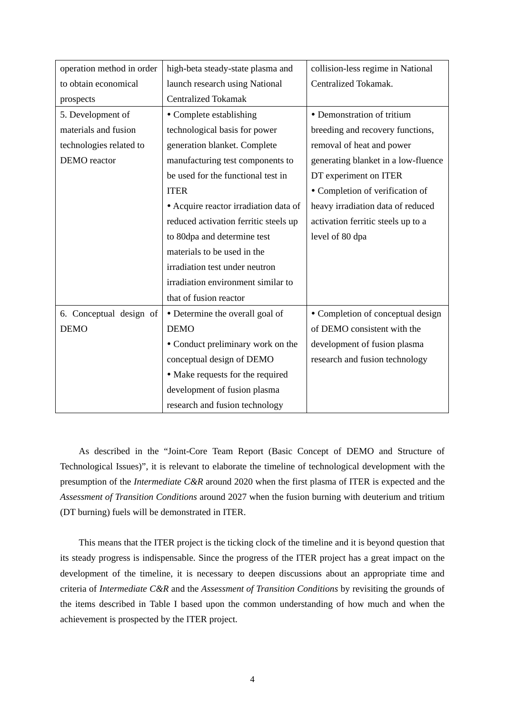| operation method in order | high-beta steady-state plasma and     | collision-less regime in National   |  |  |  |  |
|---------------------------|---------------------------------------|-------------------------------------|--|--|--|--|
| to obtain economical      | launch research using National        | Centralized Tokamak.                |  |  |  |  |
| prospects                 | <b>Centralized Tokamak</b>            |                                     |  |  |  |  |
| 5. Development of         | • Complete establishing               | • Demonstration of tritium          |  |  |  |  |
| materials and fusion      | technological basis for power         | breeding and recovery functions,    |  |  |  |  |
| technologies related to   | generation blanket. Complete          | removal of heat and power           |  |  |  |  |
| DEMO reactor              | manufacturing test components to      | generating blanket in a low-fluence |  |  |  |  |
|                           | be used for the functional test in    | DT experiment on ITER               |  |  |  |  |
|                           | <b>ITER</b>                           | • Completion of verification of     |  |  |  |  |
|                           | • Acquire reactor irradiation data of | heavy irradiation data of reduced   |  |  |  |  |
|                           | reduced activation ferritic steels up | activation ferritic steels up to a  |  |  |  |  |
|                           | to 80dpa and determine test           | level of 80 dpa                     |  |  |  |  |
|                           | materials to be used in the           |                                     |  |  |  |  |
|                           | irradiation test under neutron        |                                     |  |  |  |  |
|                           | irradiation environment similar to    |                                     |  |  |  |  |
|                           | that of fusion reactor                |                                     |  |  |  |  |
| 6. Conceptual design of   | • Determine the overall goal of       | • Completion of conceptual design   |  |  |  |  |
| <b>DEMO</b>               | <b>DEMO</b>                           | of DEMO consistent with the         |  |  |  |  |
|                           | • Conduct preliminary work on the     | development of fusion plasma        |  |  |  |  |
|                           | conceptual design of DEMO             | research and fusion technology      |  |  |  |  |
|                           | • Make requests for the required      |                                     |  |  |  |  |
|                           | development of fusion plasma          |                                     |  |  |  |  |
|                           | research and fusion technology        |                                     |  |  |  |  |

 As described in the "Joint-Core Team Report (Basic Concept of DEMO and Structure of Technological Issues)", it is relevant to elaborate the timeline of technological development with the presumption of the *Intermediate C&R* around 2020 when the first plasma of ITER is expected and the *Assessment of Transition Conditions* around 2027 when the fusion burning with deuterium and tritium (DT burning) fuels will be demonstrated in ITER.

 This means that the ITER project is the ticking clock of the timeline and it is beyond question that its steady progress is indispensable. Since the progress of the ITER project has a great impact on the development of the timeline, it is necessary to deepen discussions about an appropriate time and criteria of *Intermediate C&R* and the *Assessment of Transition Conditions* by revisiting the grounds of the items described in Table I based upon the common understanding of how much and when the achievement is prospected by the ITER project.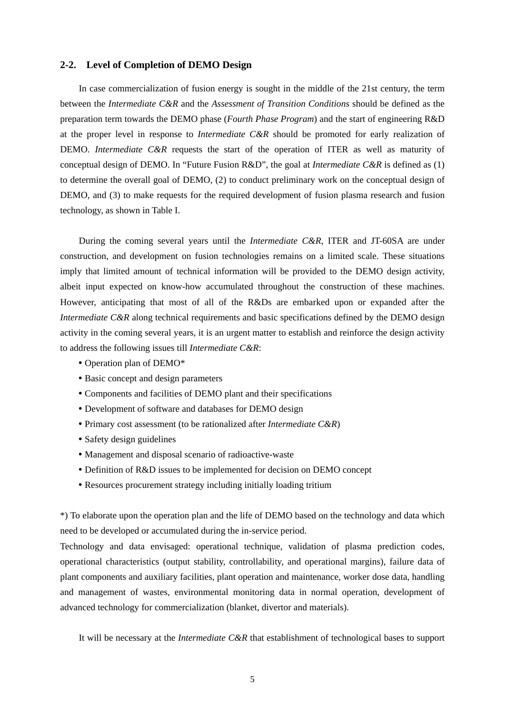### **2-2. Level of Completion of DEMO Design**

In case commercialization of fusion energy is sought in the middle of the 21st century, the term between the *Intermediate C&R* and the *Assessment of Transition Conditions* should be defined as the preparation term towards the DEMO phase (*Fourth Phase Program*) and the start of engineering R&D at the proper level in response to *Intermediate C&R* should be promoted for early realization of DEMO. *Intermediate C&R* requests the start of the operation of ITER as well as maturity of conceptual design of DEMO. In "Future Fusion R&D", the goal at *Intermediate C&R* is defined as (1) to determine the overall goal of DEMO, (2) to conduct preliminary work on the conceptual design of DEMO, and (3) to make requests for the required development of fusion plasma research and fusion technology, as shown in Table I.

 During the coming several years until the *Intermediate C&R*, ITER and JT-60SA are under construction, and development on fusion technologies remains on a limited scale. These situations imply that limited amount of technical information will be provided to the DEMO design activity, albeit input expected on know-how accumulated throughout the construction of these machines. However, anticipating that most of all of the R&Ds are embarked upon or expanded after the *Intermediate C&R* along technical requirements and basic specifications defined by the DEMO design activity in the coming several years, it is an urgent matter to establish and reinforce the design activity to address the following issues till *Intermediate C&R*:

- Operation plan of DEMO\*
- Basic concept and design parameters
- Components and facilities of DEMO plant and their specifications
- Development of software and databases for DEMO design
- Primary cost assessment (to be rationalized after *Intermediate C&R*)
- Safety design guidelines
- Management and disposal scenario of radioactive-waste
- Definition of R&D issues to be implemented for decision on DEMO concept
- Resources procurement strategy including initially loading tritium

\*) To elaborate upon the operation plan and the life of DEMO based on the technology and data which need to be developed or accumulated during the in-service period.

Technology and data envisaged: operational technique, validation of plasma prediction codes, operational characteristics (output stability, controllability, and operational margins), failure data of plant components and auxiliary facilities, plant operation and maintenance, worker dose data, handling and management of wastes, environmental monitoring data in normal operation, development of advanced technology for commercialization (blanket, divertor and materials).

It will be necessary at the *Intermediate C&R* that establishment of technological bases to support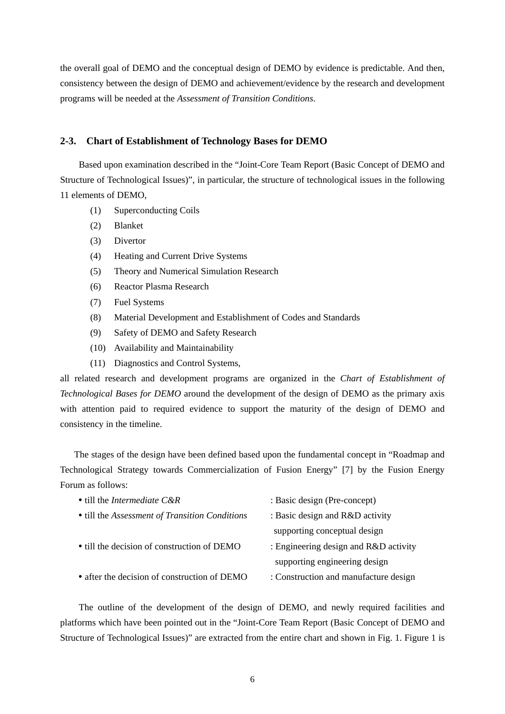the overall goal of DEMO and the conceptual design of DEMO by evidence is predictable. And then, consistency between the design of DEMO and achievement/evidence by the research and development programs will be needed at the *Assessment of Transition Conditions*.

### **2-3. Chart of Establishment of Technology Bases for DEMO**

 Based upon examination described in the "Joint-Core Team Report (Basic Concept of DEMO and Structure of Technological Issues)", in particular, the structure of technological issues in the following 11 elements of DEMO,

- (1) Superconducting Coils
- (2) Blanket
- (3) Divertor
- (4) Heating and Current Drive Systems
- (5) Theory and Numerical Simulation Research
- (6) Reactor Plasma Research
- (7) Fuel Systems
- (8) Material Development and Establishment of Codes and Standards
- (9) Safety of DEMO and Safety Research
- (10) Availability and Maintainability
- (11) Diagnostics and Control Systems,

all related research and development programs are organized in the *Chart of Establishment of Technological Bases for DEMO* around the development of the design of DEMO as the primary axis with attention paid to required evidence to support the maturity of the design of DEMO and consistency in the timeline.

 The stages of the design have been defined based upon the fundamental concept in "Roadmap and Technological Strategy towards Commercialization of Fusion Energy" [7] by the Fusion Energy Forum as follows:

| • till the <i>Intermediate</i> $C\&R$          | : Basic design (Pre-concept)            |
|------------------------------------------------|-----------------------------------------|
| • till the Assessment of Transition Conditions | : Basic design and $R&D$ activity       |
|                                                | supporting conceptual design            |
| • till the decision of construction of DEMO    | : Engineering design and $R&D$ activity |
|                                                | supporting engineering design           |
| • after the decision of construction of DEMO   | : Construction and manufacture design   |

 The outline of the development of the design of DEMO, and newly required facilities and platforms which have been pointed out in the "Joint-Core Team Report (Basic Concept of DEMO and Structure of Technological Issues)" are extracted from the entire chart and shown in Fig. 1. Figure 1 is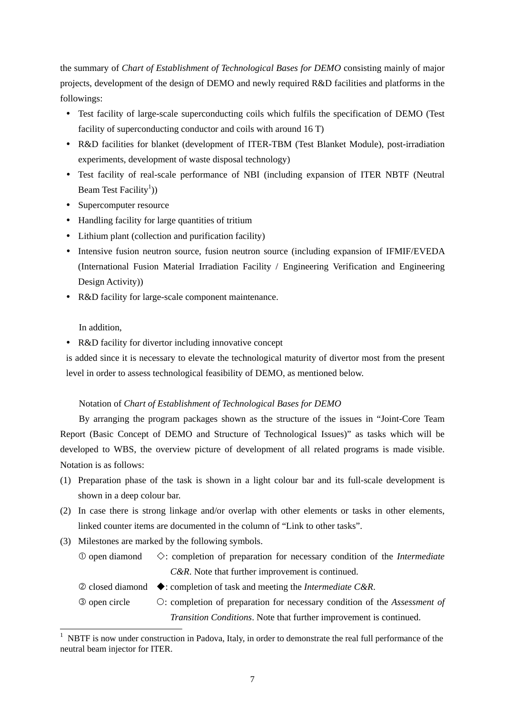the summary of *Chart of Establishment of Technological Bases for DEMO* consisting mainly of major projects, development of the design of DEMO and newly required R&D facilities and platforms in the followings:

- Test facility of large-scale superconducting coils which fulfils the specification of DEMO (Test facility of superconducting conductor and coils with around 16 T)
- R&D facilities for blanket (development of ITER-TBM (Test Blanket Module), post-irradiation experiments, development of waste disposal technology)
- Test facility of real-scale performance of NBI (including expansion of ITER NBTF (Neutral Beam Test Facility<sup>1</sup>))
- Supercomputer resource
- Handling facility for large quantities of tritium
- Lithium plant (collection and purification facility)
- Intensive fusion neutron source, fusion neutron source (including expansion of IFMIF/EVEDA (International Fusion Material Irradiation Facility / Engineering Verification and Engineering Design Activity))
- R&D facility for large-scale component maintenance.

In addition,

-

R&D facility for divertor including innovative concept

is added since it is necessary to elevate the technological maturity of divertor most from the present level in order to assess technological feasibility of DEMO, as mentioned below.

### Notation of *Chart of Establishment of Technological Bases for DEMO*

 By arranging the program packages shown as the structure of the issues in "Joint-Core Team Report (Basic Concept of DEMO and Structure of Technological Issues)" as tasks which will be developed to WBS, the overview picture of development of all related programs is made visible. Notation is as follows:

- (1) Preparation phase of the task is shown in a light colour bar and its full-scale development is shown in a deep colour bar.
- (2) In case there is strong linkage and/or overlap with other elements or tasks in other elements, linked counter items are documented in the column of "Link to other tasks".
- (3) Milestones are marked by the following symbols.
	- $\heartsuit$  open diamond  $\diamondsuit$ : completion of preparation for necessary condition of the *Intermediate C&R*. Note that further improvement is continued.
	- © closed diamond ◆: completion of task and meeting the *Intermediate C&R*.
	- open circle : completion of preparation for necessary condition of the *Assessment of Transition Conditions*. Note that further improvement is continued.

<sup>1</sup> NBTF is now under construction in Padova, Italy, in order to demonstrate the real full performance of the neutral beam injector for ITER.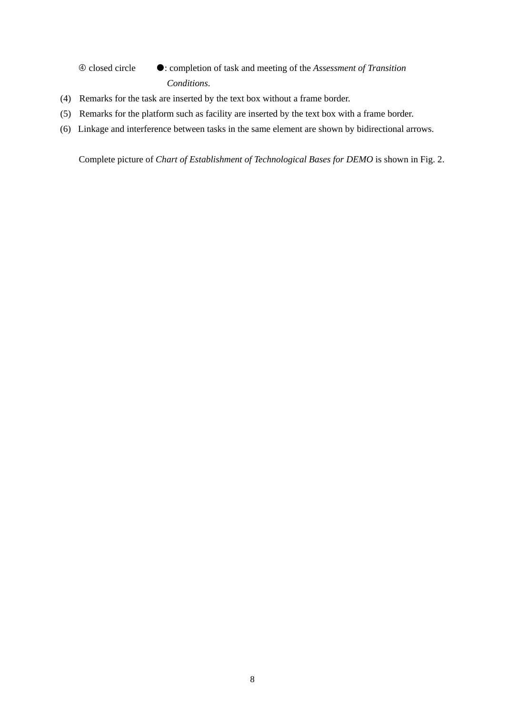closed circle : completion of task and meeting of the *Assessment of Transition Conditions*.

- (4) Remarks for the task are inserted by the text box without a frame border.
- (5) Remarks for the platform such as facility are inserted by the text box with a frame border.
- (6) Linkage and interference between tasks in the same element are shown by bidirectional arrows.

Complete picture of *Chart of Establishment of Technological Bases for DEMO* is shown in Fig. 2.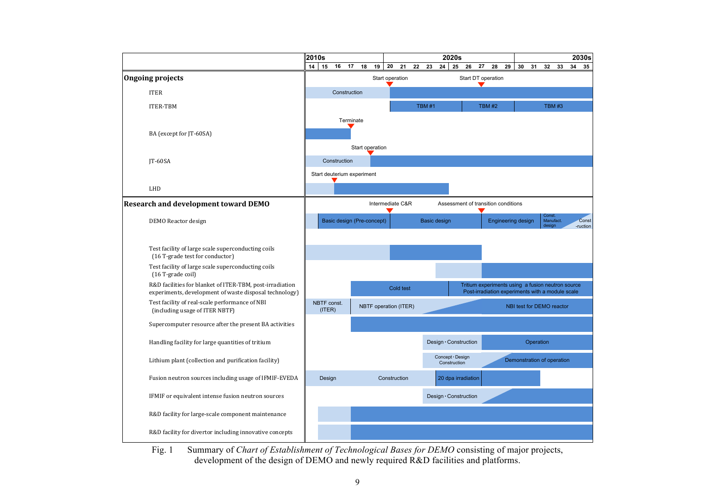

Fig. 1 Summary of *Chart of Establishment of Technological Bases for DEMO* consisting of major projects, development of the design of DEMO and newly required R&D facilities and platforms.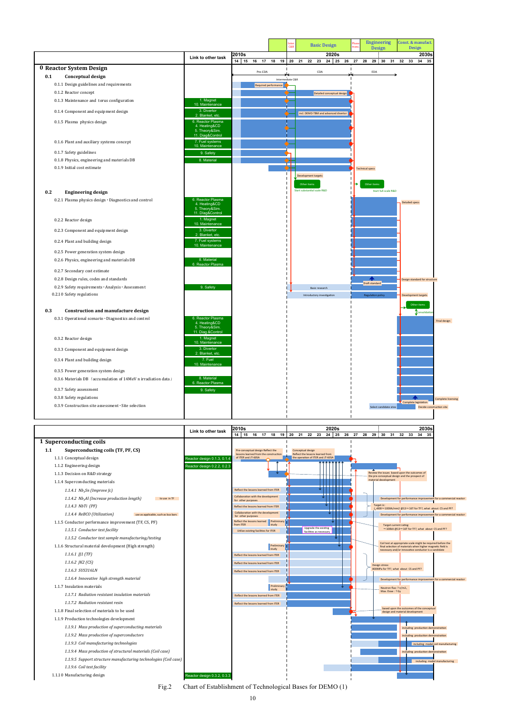Fig.2 Chart of Establishment of Technological Bases for DEMO (1)



|     |                                                               |                                                                           |         | <b>Inter</b><br>C&R  | <b>Basic Design</b>                       | <b>Engineering</b><br>Phase<br>trans.<br>Design | Const. & manufact.<br><b>Design</b> |
|-----|---------------------------------------------------------------|---------------------------------------------------------------------------|---------|----------------------|-------------------------------------------|-------------------------------------------------|-------------------------------------|
|     |                                                               | Link to other task                                                        | 2010s   |                      | 2020s                                     |                                                 | 2030s                               |
|     |                                                               |                                                                           | 14:15   |                      | 16 17 18 19 20 21 22 23<br>24 25 26 27    | 28<br>29 30 31                                  | 32 33<br>34 35                      |
|     | 0 Reactor System Design                                       |                                                                           | Pre-CDA | ₩                    | CDA                                       | EDA                                             |                                     |
| 0.1 | <b>Conceptual design</b>                                      |                                                                           |         | Intermediate C&R     |                                           |                                                 |                                     |
|     | 0.1.1 Design guidelines and requirements                      |                                                                           |         | Required performance |                                           |                                                 |                                     |
|     | 0.1.2 Reactor concept                                         |                                                                           |         |                      | Detailed conceptual design                |                                                 |                                     |
|     | 0.1.3 Maintenance and torus configuration                     | 1. Magnet<br>10. Maintenance                                              |         |                      |                                           |                                                 |                                     |
|     | 0.1.4 Component and equipment design                          | 3. Divertor<br>2. Blanket, etc.                                           |         |                      | incl. DEMO-TBM and advanced divertor      |                                                 |                                     |
|     | 0.1.5 Plasma physics design                                   | 6. Reactor Plasma<br>4. Heating&CD<br>5. Theory&Sim.<br>11. Diag&Control  |         |                      |                                           |                                                 |                                     |
|     | 0.1.6 Plant and auxiliary systems concept                     | 7. Fuel systems<br>10. Maintenance                                        |         |                      |                                           |                                                 |                                     |
|     | 0.1.7 Safety guidelines                                       | 9. Safety                                                                 |         |                      |                                           |                                                 |                                     |
|     | 0.1.8 Physics, engineering and materials DB                   | 8. Material                                                               |         |                      |                                           |                                                 |                                     |
|     | 0.1.9 Initial cost estimate                                   |                                                                           |         |                      |                                           | <b>Technical specs</b>                          |                                     |
|     |                                                               |                                                                           |         |                      | <b>Development targets</b><br>Other items | Other items                                     |                                     |
| 0.2 | <b>Engineering design</b>                                     |                                                                           |         |                      | <b>Start substantial scale R&amp;D</b>    | Start full-scale R&D                            |                                     |
|     | 0.2.1 Plasma physics design · Diagnostics and control         | 6. Reactor Plasma<br>4. Heating&CD<br>5. Theory&Sim.                      |         |                      |                                           |                                                 | <b>Detailed specs</b>               |
|     | 0.2.2 Reactor design                                          | 11. Dlag&Control<br>1. Magnet<br>10. Maintenance                          |         |                      |                                           |                                                 |                                     |
|     | 0.2.3 Component and equipment design                          | 3. Divertor<br>2. Blanket, etc.                                           |         |                      |                                           |                                                 |                                     |
|     | 0.2.4 Plant and building design                               | 7. Fuel systems<br>10. Maintenance                                        |         |                      |                                           |                                                 |                                     |
|     | 0.2.5 Power generation system design                          |                                                                           |         |                      |                                           |                                                 |                                     |
|     | 0.2.6 Physics, engineering and materials DB                   | 8. Material<br>6. Reactor Plasma                                          |         |                      |                                           |                                                 |                                     |
|     | 0.2.7 Secondary cost estimate                                 |                                                                           |         |                      |                                           |                                                 |                                     |
|     | 0.2.8 Design rules, codes and standards                       |                                                                           |         |                      |                                           | ◢<br>Draft standard                             | Design standard for structure       |
|     | 0.2.9 Safety requirements · Analysis · Assessment             | 9. Safety                                                                 |         |                      | Basic research                            |                                                 |                                     |
|     | 0.2.10 Safety regulations                                     |                                                                           |         |                      | Introductory investigation                | <b>Regulation policy</b>                        | Development targets                 |
| 0.3 | <b>Construction and manufacture design</b>                    |                                                                           |         |                      |                                           |                                                 | Other items<br>Consolidation        |
|     | 0.3.1 Operational scenario · Diagnostics and control          | 6. Reactor Plasma<br>4. Heating&CD<br>5. Theory&Sim.<br>11. Diag.&Control |         |                      |                                           |                                                 | Final design                        |
|     | 0.3.2 Reactor design                                          | 1. Magnet<br>10. Maintenance                                              |         |                      |                                           |                                                 |                                     |
|     | 0.3.3 Component and equipment design                          | 3. Divertor<br>2. Blanket, etc.                                           |         |                      |                                           |                                                 |                                     |
|     | 0.3.4 Plant and building design                               | 7. Fuel<br>10. Maintenance                                                |         |                      |                                           |                                                 |                                     |
|     | 0.3.5 Power generation system design                          |                                                                           |         |                      |                                           |                                                 |                                     |
|     | 0.3.6 Materials DB (accumulation of 14MeV n irradiation data) | 8. Material<br>6. Reactor Plasma                                          |         |                      |                                           |                                                 |                                     |
|     | 0.3.7 Safety assessment                                       | 9. Safety                                                                 |         |                      |                                           |                                                 |                                     |
|     | 0.3.8 Safety regulations                                      |                                                                           |         |                      |                                           |                                                 | <b>Complete licensing</b>           |
|     |                                                               |                                                                           |         |                      |                                           |                                                 | Complete legislation                |

|                                                                    | Link to other task          | 2010s     |                     |                                                                            |  |                                                       |                                                 | 2020s                    |    |    |    |                      |                                                                                               |    |    | 2030s |                                                                         |
|--------------------------------------------------------------------|-----------------------------|-----------|---------------------|----------------------------------------------------------------------------|--|-------------------------------------------------------|-------------------------------------------------|--------------------------|----|----|----|----------------------|-----------------------------------------------------------------------------------------------|----|----|-------|-------------------------------------------------------------------------|
|                                                                    |                             |           | 14 15 16            | 18<br>17                                                                   |  | 19 20 21<br>- 22                                      | 23                                              | 24 25                    | 26 | 27 | 28 | 29 30 31             |                                                                                               | 32 | 33 | 34 35 |                                                                         |
| 1 Superconducting coils                                            |                             |           |                     |                                                                            |  |                                                       |                                                 |                          |    |    |    |                      |                                                                                               |    |    |       |                                                                         |
| Superconducting coils (TF, PF, CS)<br>1.1                          |                             |           |                     | Pre-conceptual design Reflect the<br>lessons learned from the construction |  | Conceptual design<br>Reflect the lessons learned from |                                                 |                          |    |    |    |                      |                                                                                               |    |    |       |                                                                         |
| 1.1.1 Conceptual design                                            | Reactor design 0.1.3, 0.1.4 |           | of ITER and JT-60SA |                                                                            |  | the operation of ITER and JT-60SA                     |                                                 |                          |    |    |    |                      |                                                                                               |    |    |       |                                                                         |
| 1.1.2 Engineering design                                           | Reactor design 0.2.2, 0.2.3 |           |                     |                                                                            |  |                                                       |                                                 |                          |    |    |    |                      |                                                                                               |    |    |       |                                                                         |
| 1.1.3 Decision on R&D strategy                                     |                             |           |                     |                                                                            |  |                                                       |                                                 |                          |    |    |    |                      | Review the issues based upon the outcomes of<br>the pre-conceptual design and the prospect of |    |    |       |                                                                         |
| 1.1.4 Superconducting materials                                    |                             |           |                     |                                                                            |  |                                                       |                                                 |                          |    |    |    | material development |                                                                                               |    |    |       |                                                                         |
| 1.1.4.1 $Nb_3Sn$ (Improve [c]                                      |                             |           |                     | Reflect the lessons learned from ITER                                      |  |                                                       |                                                 | - <del>- 1 - 1 - 1</del> |    |    |    |                      |                                                                                               |    |    |       |                                                                         |
| 1.1.4.2 $Nb3Al$ (Increase production length)<br>to use in TF       |                             |           | for other purposes  | Collaboration with the development                                         |  |                                                       |                                                 |                          |    |    |    |                      |                                                                                               |    |    |       | Development for performance improvement for a commercial reactor        |
| 1.1.4.3 NbTi (PF)                                                  |                             |           |                     | Reflect the lessons learned from ITER                                      |  |                                                       |                                                 |                          |    |    |    | Target Jc:           |                                                                                               |    |    |       | $J > 800 \sim 1000$ A/mm2 @13 $\sim$ 16T for TF?, what about CS and PF? |
| 1.1.4.4 ReBCO (Utilization)<br>use as applicable, such as bus bars |                             |           | for other purposes  | Collaboration with the development                                         |  |                                                       |                                                 |                          |    |    |    |                      |                                                                                               |    |    |       | Development for performance improvement for a commercial reactor        |
| 1.1.5 Conductor performance improvement (TF, CS, PF)               |                             | from ITER |                     | Reflect the lessons learned Preliminary<br>study                           |  |                                                       |                                                 |                          |    |    |    |                      | Target current rating:                                                                        |    |    |       |                                                                         |
| 1.1.5.1 Conductor test facility                                    |                             |           |                     | Utilize existing facilities for ITER                                       |  |                                                       | Upgrade the existing<br>facilities as necessary |                          |    |    |    |                      |                                                                                               |    |    |       | $\sim$ 100kA @13 $\sim$ 16T for TF?, what about CS and PF?              |
|                                                                    |                             |           |                     |                                                                            |  |                                                       |                                                 |                          |    |    |    |                      |                                                                                               |    |    |       |                                                                         |

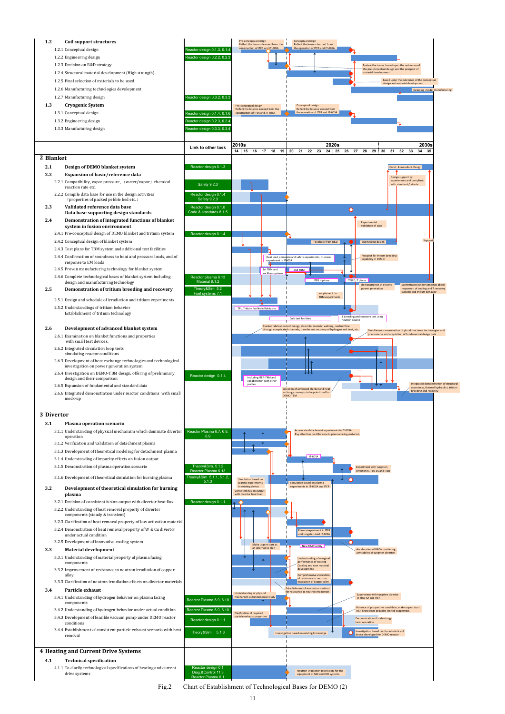Fig.2 Chart of Establishment of Technological Bases for DEMO (2)



- 
- 
- 
- -
	-
	-
	-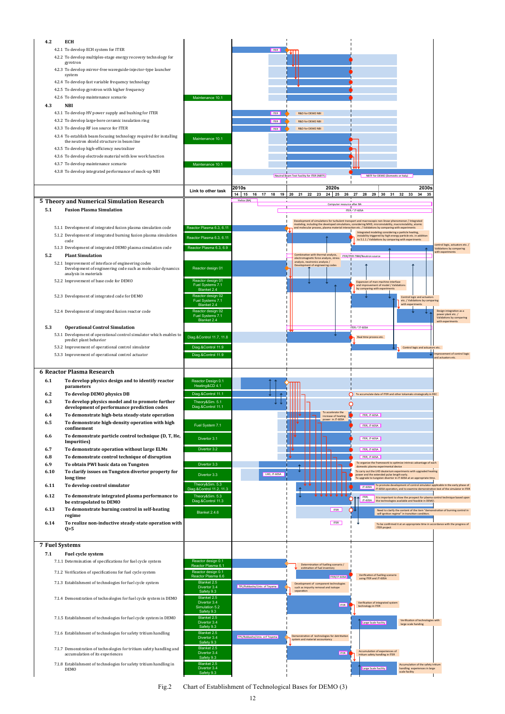Fig.2 Chart of Establishment of Technological Bases for DEMO (3)

| 4.2  | <b>ECH</b>                                                                   |                                                                     |                                             |                   |                       |                                            |                                                                              |                            |                                                                                                                                                                                                                    |                                                                                                                                                               |                                                            |
|------|------------------------------------------------------------------------------|---------------------------------------------------------------------|---------------------------------------------|-------------------|-----------------------|--------------------------------------------|------------------------------------------------------------------------------|----------------------------|--------------------------------------------------------------------------------------------------------------------------------------------------------------------------------------------------------------------|---------------------------------------------------------------------------------------------------------------------------------------------------------------|------------------------------------------------------------|
|      | 4.2.1 To develop ECH system for ITER                                         |                                                                     |                                             |                   | <b>ITER</b><br>′ JJ I |                                            |                                                                              |                            |                                                                                                                                                                                                                    |                                                                                                                                                               |                                                            |
|      |                                                                              | 4.2.2 To develop multiples-stage energy recovery technology for     |                                             |                   |                       |                                            |                                                                              |                            |                                                                                                                                                                                                                    |                                                                                                                                                               |                                                            |
|      | gyrotron                                                                     |                                                                     |                                             |                   |                       |                                            |                                                                              |                            |                                                                                                                                                                                                                    |                                                                                                                                                               |                                                            |
|      | system                                                                       | 4.2.3 To develop mirror-free waveguide-injector-type launcher       |                                             |                   |                       |                                            |                                                                              |                            |                                                                                                                                                                                                                    |                                                                                                                                                               |                                                            |
|      | 4.2.4 To develop fast variable frequency technology                          |                                                                     |                                             |                   |                       |                                            |                                                                              |                            |                                                                                                                                                                                                                    |                                                                                                                                                               |                                                            |
|      | 4.2.5 To develop gyrotron with higher frequency                              |                                                                     |                                             |                   |                       |                                            |                                                                              |                            |                                                                                                                                                                                                                    |                                                                                                                                                               |                                                            |
|      | 4.2.6 To develop maintenance scenario                                        |                                                                     | Maintenance 10.1                            |                   |                       |                                            |                                                                              |                            |                                                                                                                                                                                                                    |                                                                                                                                                               |                                                            |
| 4.3  | <b>NBI</b>                                                                   |                                                                     |                                             |                   |                       |                                            |                                                                              |                            |                                                                                                                                                                                                                    |                                                                                                                                                               |                                                            |
|      | 4.3.1 To develop HV power supply and bushing for ITER                        |                                                                     |                                             |                   | <b>ITER</b>           | <b>R&amp;D</b> for DEMO NBI                |                                                                              |                            |                                                                                                                                                                                                                    |                                                                                                                                                               |                                                            |
|      | 4.3.2 To develop large-bore ceramic insulation ring                          |                                                                     |                                             |                   | <b>ITER</b>           | <b>R&amp;D for DEMO NBI</b>                |                                                                              |                            |                                                                                                                                                                                                                    |                                                                                                                                                               |                                                            |
|      | 4.3.3 To develop RF ion source for ITER                                      |                                                                     |                                             |                   | <b>ITER</b>           | R&D for DEMO NBI                           |                                                                              |                            |                                                                                                                                                                                                                    |                                                                                                                                                               |                                                            |
|      |                                                                              | 4.3.4 To establish beam focusing technology required for installing | Maintenance 10.1                            |                   |                       |                                            |                                                                              |                            |                                                                                                                                                                                                                    |                                                                                                                                                               |                                                            |
|      | the neutron shield structure in beam line                                    |                                                                     |                                             |                   |                       |                                            |                                                                              |                            |                                                                                                                                                                                                                    |                                                                                                                                                               |                                                            |
|      | 4.3.5 To develop high-efficiency neutralizer                                 |                                                                     |                                             |                   |                       |                                            |                                                                              |                            |                                                                                                                                                                                                                    |                                                                                                                                                               |                                                            |
|      |                                                                              | 4.3.6 To develop electrode material with low work function          |                                             |                   |                       |                                            |                                                                              |                            |                                                                                                                                                                                                                    |                                                                                                                                                               |                                                            |
|      | 4.3.7 To develop maintenance scenario                                        |                                                                     | Maintenance 10.1                            |                   |                       |                                            |                                                                              |                            |                                                                                                                                                                                                                    |                                                                                                                                                               |                                                            |
|      |                                                                              | 4.3.8 To develop integrated performance of mock-up NBI              |                                             |                   |                       | Neutral Beam Test Facility for ITER (NBTF) |                                                                              |                            | NBTF for DEMO (Domestic or Italy)                                                                                                                                                                                  |                                                                                                                                                               |                                                            |
|      |                                                                              |                                                                     |                                             |                   |                       |                                            |                                                                              |                            |                                                                                                                                                                                                                    |                                                                                                                                                               |                                                            |
|      |                                                                              |                                                                     | Link to other task                          | 2010s<br>14 15 16 | 17  18  19  20        | 21  22  23                                 | 2020s                                                                        |                            | 24 25 26 27 28 29 30 31                                                                                                                                                                                            | 2030s<br>32 33<br>34<br>-35                                                                                                                                   |                                                            |
|      |                                                                              | 5 Theory and Numerical Simulation Research                          |                                             | Helios (BA)       |                       |                                            |                                                                              |                            |                                                                                                                                                                                                                    |                                                                                                                                                               |                                                            |
| 5.1  | <b>Fusion Plasma Simulation</b>                                              |                                                                     |                                             |                   |                       |                                            |                                                                              | Computer resource after BA | ITER/JT-60SA                                                                                                                                                                                                       |                                                                                                                                                               |                                                            |
|      |                                                                              |                                                                     |                                             |                   |                       |                                            |                                                                              |                            |                                                                                                                                                                                                                    |                                                                                                                                                               |                                                            |
|      |                                                                              |                                                                     |                                             |                   |                       |                                            |                                                                              |                            | Development of simulations for turbulent transport and macroscopic non-linear phenomenon / Integrated<br>modeling, including the developed simulations, considering MHD, microinstability, macroinstablity, atomic |                                                                                                                                                               |                                                            |
|      |                                                                              | 5.1.1 Development of integrated fusion plasma simulation code       | Reactor Plasma 6.3, 6.11                    |                   |                       |                                            |                                                                              |                            | and molecular process, plasma material interaction etc. / Validations by comparing with experiments<br>Integrated modeling considering a particle heating,                                                         |                                                                                                                                                               |                                                            |
|      | code                                                                         | 5.1.2 Development of integrated burning fusion plasma simulation    | Reactor Plasma 6.3, 6.11                    |                   |                       |                                            |                                                                              |                            | to 5.1.1 / Validations by comparing with experiments                                                                                                                                                               | instability triggered by high energy particle etc. in addition                                                                                                |                                                            |
|      |                                                                              | 5.1.3 Development of integrated DEMO plasma simulation code         | Reactor Plasma 6.3, 6.9                     |                   |                       |                                            |                                                                              |                            |                                                                                                                                                                                                                    |                                                                                                                                                               | ontrol logic, actuators etc. /<br>Validations by comparing |
| 5.2  | <b>Plant Simulation</b>                                                      |                                                                     |                                             |                   |                       |                                            | Combination with thermal analysis,<br>electromagnetic force analysis, stress |                            | ITER/ITER-TBM/Neutron source                                                                                                                                                                                       |                                                                                                                                                               | with experiments                                           |
|      | 5.2.1 Improvement of interface of engineering codes                          |                                                                     |                                             |                   |                       | analysis, neutronics analysis /            | Development of engineering codes                                             |                            |                                                                                                                                                                                                                    |                                                                                                                                                               |                                                            |
|      | analysis in materials                                                        | Development of engineering code such as molecular dynamics          | Reactor design 01                           |                   |                       |                                            |                                                                              |                            |                                                                                                                                                                                                                    |                                                                                                                                                               |                                                            |
|      | 5.2.2 Improvement of base code for DEMO                                      |                                                                     | Reactor design 01                           |                   |                       |                                            |                                                                              |                            | Expansion of man-machine interface                                                                                                                                                                                 |                                                                                                                                                               |                                                            |
|      |                                                                              |                                                                     | Fuel Systems 7.1<br>Blanket 2.4             |                   |                       |                                            |                                                                              |                            | and improvement of model / Validations<br>by comparing with experiments                                                                                                                                            |                                                                                                                                                               |                                                            |
|      | 5.2.3 Development of integrated code for DEMO                                |                                                                     | Reactor design 02                           |                   |                       |                                            |                                                                              |                            |                                                                                                                                                                                                                    | Control logic and actuators                                                                                                                                   |                                                            |
|      |                                                                              |                                                                     | Fuel Systems 7.1<br>Rightet 2.4             |                   |                       |                                            |                                                                              |                            |                                                                                                                                                                                                                    | etc. / Validations by comparing<br>with experiments                                                                                                           |                                                            |
|      | 5.2.4 Development of integrated fusion reactor code                          |                                                                     | Reactor design 02                           |                   |                       |                                            |                                                                              |                            |                                                                                                                                                                                                                    |                                                                                                                                                               | Design integration as a<br>power plant etc./               |
|      |                                                                              |                                                                     | Fuel Systems 7.1<br>Blanket 2.4             |                   |                       |                                            |                                                                              |                            |                                                                                                                                                                                                                    |                                                                                                                                                               | Validations by comparing<br>with experiments               |
| 5.3  | <b>Operational Control Simulation</b>                                        |                                                                     |                                             |                   |                       |                                            |                                                                              |                            | ITER/JT-60SA                                                                                                                                                                                                       |                                                                                                                                                               |                                                            |
|      |                                                                              | 5.3.1 Development of operational control simulator which enables to | Diag.&Control 11.7, 11.8                    |                   |                       |                                            |                                                                              |                            | Real time process etc.                                                                                                                                                                                             |                                                                                                                                                               |                                                            |
|      | predict plant behavior<br>5.3.2 Improvement of operational control simulator |                                                                     | Diag.&Control 11.9                          |                   |                       |                                            |                                                                              |                            |                                                                                                                                                                                                                    |                                                                                                                                                               |                                                            |
|      | 5.3.3 Improvement of operational control actuator                            |                                                                     | Diag.&Control 11.9                          |                   |                       |                                            |                                                                              |                            |                                                                                                                                                                                                                    | Control logic and actuators etc.                                                                                                                              | <b>Improvement of control logic</b>                        |
|      |                                                                              |                                                                     |                                             |                   |                       |                                            |                                                                              |                            |                                                                                                                                                                                                                    |                                                                                                                                                               | and actuators etc.                                         |
|      | <b>6 Reactor Plasma Research</b>                                             |                                                                     |                                             |                   |                       |                                            |                                                                              |                            |                                                                                                                                                                                                                    |                                                                                                                                                               |                                                            |
|      |                                                                              |                                                                     |                                             |                   |                       |                                            |                                                                              |                            |                                                                                                                                                                                                                    |                                                                                                                                                               |                                                            |
| 6.1  | parameters                                                                   | To develop physics design and to identify reactor                   | Reactor Design 0.1<br>Heating&CD 4.1        |                   |                       |                                            |                                                                              |                            |                                                                                                                                                                                                                    |                                                                                                                                                               |                                                            |
| 6.2  | To develop DEMO physics DB                                                   |                                                                     | Diag.&Control 11.1                          |                   |                       |                                            |                                                                              |                            |                                                                                                                                                                                                                    | To accumulate data of ITER and other tokamaks strategically in REC                                                                                            |                                                            |
| 6.3  |                                                                              | To develop physics model and to promote further                     | Theory&Sim. 5.1                             |                   |                       |                                            |                                                                              |                            |                                                                                                                                                                                                                    |                                                                                                                                                               |                                                            |
|      |                                                                              | development of performance prediction codes                         | Diag.&Control 11.1                          |                   |                       |                                            |                                                                              |                            |                                                                                                                                                                                                                    |                                                                                                                                                               |                                                            |
| 6.4  |                                                                              | To demonstrate high-beta steady-state operation                     |                                             |                   |                       |                                            | To accelerate the<br>increase of heating<br>power in JT-60SA                 |                            | ITER, JT-60SA                                                                                                                                                                                                      |                                                                                                                                                               |                                                            |
| 6.5  |                                                                              | To demonstrate high-density operation with high                     | Fuel System 7.1                             |                   |                       |                                            |                                                                              |                            | ITER, JT-60SA                                                                                                                                                                                                      |                                                                                                                                                               |                                                            |
| 6.6  | confinement                                                                  | To demonstrate particle control technique (D, T, He,                |                                             |                   |                       |                                            |                                                                              |                            |                                                                                                                                                                                                                    |                                                                                                                                                               |                                                            |
|      | Impurities)                                                                  |                                                                     | Divertor 3.1                                |                   |                       |                                            |                                                                              |                            | ITER, JT-60SA                                                                                                                                                                                                      |                                                                                                                                                               |                                                            |
| 6.7  |                                                                              | To demonstrate operation without large ELMs                         | Divertor 3.2                                |                   |                       |                                            |                                                                              |                            | ITER, JT-60SA                                                                                                                                                                                                      |                                                                                                                                                               |                                                            |
| 6.8  |                                                                              | To demonstrate control technique of disruption                      |                                             |                   |                       |                                            |                                                                              |                            | ITER, JT-60SA                                                                                                                                                                                                      |                                                                                                                                                               |                                                            |
| 6.9  |                                                                              | To obtain PWI basic data on Tungsten                                | Divertor 3.3                                |                   |                       |                                            |                                                                              |                            | domestic plasma experimental device                                                                                                                                                                                | To organize the framework to optimize intrinsic advantage of each                                                                                             |                                                            |
| 6.10 |                                                                              | To clarify issues on Tungsten divertor property for                 | Divertor 3.3                                | LHD, JT-60SA      |                       |                                            |                                                                              |                            | power and the extended pulse length early.                                                                                                                                                                         | To carry out the LHD deuterium experiments with upgraded heating                                                                                              |                                                            |
|      | long time                                                                    |                                                                     |                                             |                   |                       |                                            |                                                                              |                            |                                                                                                                                                                                                                    | To upgrade to tungsten divertor in JT-60SA at an appropriate time                                                                                             |                                                            |
| 6.11 | To develop control simulator                                                 |                                                                     | Theory&Sim. 5.3<br>Diag.&Control 11.2, 11.3 |                   |                       |                                            |                                                                              |                            | $JT-60SA$                                                                                                                                                                                                          | To promote development of control simulator applicable in the early phase of<br>JT-60SA operation, and to examine demonstration test of the simulator in ITER |                                                            |
| 6.12 |                                                                              | To demonstrate integrated plasma performance to                     | Theory&Sim. 5.3                             |                   |                       |                                            |                                                                              |                            | ITER,                                                                                                                                                                                                              | It is important to show the prospect for plasma control technique based upon                                                                                  |                                                            |
|      | be extrapolated to DEMO                                                      |                                                                     | Diag.&Control 11.3                          |                   |                       |                                            |                                                                              |                            |                                                                                                                                                                                                                    | JT-60SA the technologies available and feasible in DEMO.                                                                                                      |                                                            |
| 6.13 | regime                                                                       | To demonstrate burning control in self-heating                      | Blanket 2.4.6                               |                   |                       |                                            | <b>ITER</b>                                                                  | O.                         |                                                                                                                                                                                                                    | Need to clarify the content of the item "demonstration of burning control in<br>self-ignition regime" in transition condition                                 |                                                            |
| 6.14 |                                                                              | To realize non-inductive steady-state operation with                |                                             |                   |                       |                                            | <b>ITER</b>                                                                  |                            |                                                                                                                                                                                                                    | To be confirmed it at an appropriate time in accordance with the progress of                                                                                  |                                                            |
|      | Q > 5                                                                        |                                                                     |                                             |                   |                       |                                            |                                                                              |                            | <b>ITER</b> project                                                                                                                                                                                                |                                                                                                                                                               |                                                            |
|      |                                                                              |                                                                     |                                             |                   |                       |                                            |                                                                              |                            |                                                                                                                                                                                                                    |                                                                                                                                                               |                                                            |

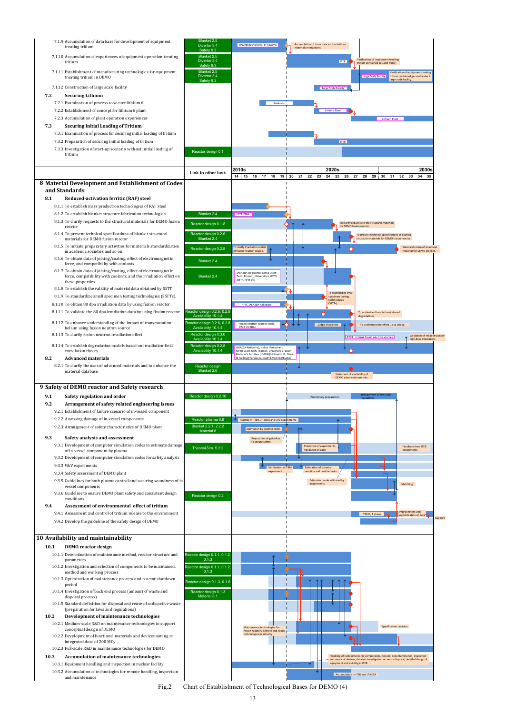Fig.2 Chart of Establishment of Technological Bases for DEMO (4)



- -
	-
	-
	-
- 
- -
	-
	-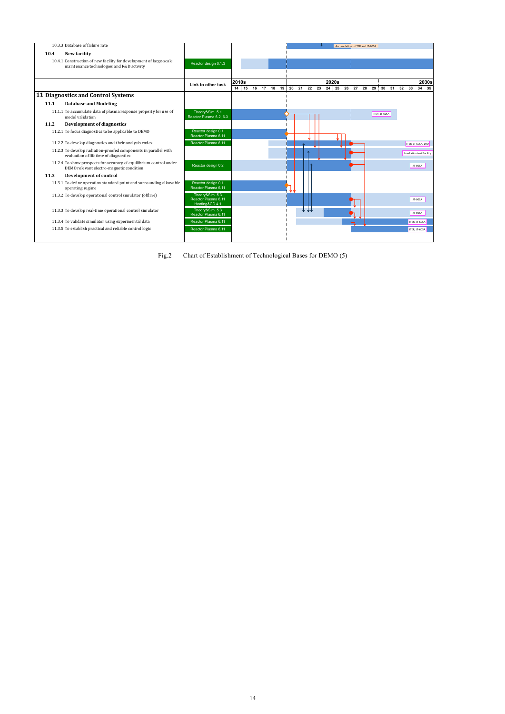# 14

|      | 10.3.3 Database of failure rate                                                                                 |                                                          |       |  |  |      |                                           | Accumulation in ITER and JT-60SA |  |                   |  |                                  |
|------|-----------------------------------------------------------------------------------------------------------------|----------------------------------------------------------|-------|--|--|------|-------------------------------------------|----------------------------------|--|-------------------|--|----------------------------------|
| 10.4 | New facility                                                                                                    |                                                          |       |  |  |      |                                           |                                  |  |                   |  |                                  |
|      | 10.4.1 Construction of new facility for development of large-scale<br>maintenance technologies and R&D activity | Reactor design 0.1.3                                     |       |  |  |      |                                           |                                  |  |                   |  |                                  |
|      |                                                                                                                 |                                                          |       |  |  |      |                                           |                                  |  |                   |  |                                  |
|      |                                                                                                                 | Link to other task                                       | 2010s |  |  |      | 2020s                                     |                                  |  |                   |  | 2030s                            |
|      | 11 Diagnostics and Control Systems                                                                              |                                                          |       |  |  |      | 14 15 16 17 18 19 20 21 22 23 24 25 26 27 |                                  |  | 28 29 30 31 32 33 |  | 34 35                            |
|      |                                                                                                                 |                                                          |       |  |  |      |                                           |                                  |  |                   |  |                                  |
| 11.1 | <b>Database and Modeling</b>                                                                                    |                                                          |       |  |  |      |                                           |                                  |  |                   |  |                                  |
|      | 11.1.1 To accumulate data of plasma response property for use of<br>model validation                            | Theory&Sim. 5.1<br>Reactor Plasma 6.2, 6.3               |       |  |  |      |                                           |                                  |  | ITER, JT-60SA     |  |                                  |
| 11.2 | Development of diagnostics                                                                                      |                                                          |       |  |  |      |                                           |                                  |  |                   |  |                                  |
|      | 11.2.1 To focus diagnostics to be applicable to DEMO                                                            | Reactor design 0.1<br>Reactor Plasma 6.11                |       |  |  |      |                                           |                                  |  |                   |  |                                  |
|      | 11.2.2 To develop diagnostics and their analysis codes                                                          | Reactor Plasma 6.11                                      |       |  |  |      |                                           |                                  |  |                   |  | ITER, JT-60SA, LHD               |
|      | 11.2.3 To develop radiation-proofed components in parallel with<br>evaluation of lifetime of diagnostics        |                                                          |       |  |  |      |                                           |                                  |  |                   |  | <b>Irradiation test Facility</b> |
|      | 11.2.4 To show prospects for accuracy of equilibrium control under<br>DEMO relevant electro-magnetic condition  | Reactor design 0.2                                       |       |  |  |      |                                           |                                  |  |                   |  | JT-60SA                          |
| 11.3 | <b>Development of control</b>                                                                                   |                                                          |       |  |  |      |                                           |                                  |  |                   |  |                                  |
|      | 11.3.1 To define operation standard point and surrounding allowable<br>operating regime                         | Reactor design 0.1<br>Reactor Plasma 6.11                |       |  |  |      |                                           |                                  |  |                   |  |                                  |
|      | 11.3.2 To develop operational control simulator (offline)                                                       | Theory&Sim. 5.3<br>Reactor Plasma 6.11<br>Heating&CD 4.1 |       |  |  |      |                                           |                                  |  |                   |  | JT-60SA                          |
|      | 11.3.3 To develop real-time operational control simulator                                                       | Theory&Sim. 5.3<br>Reactor Plasma 6.11                   |       |  |  | t ti |                                           |                                  |  |                   |  | JT-60SA                          |
|      | 11.3.4 To validate simulator using experimental data                                                            | Reactor Plasma 6.11                                      |       |  |  |      |                                           |                                  |  |                   |  | ITER, JT-60SA                    |
|      | 11.3.5 To establish practical and reliable control logic                                                        | Reactor Plasma 6.11                                      |       |  |  |      |                                           |                                  |  |                   |  | ITER, JT-60SA                    |
|      |                                                                                                                 |                                                          |       |  |  |      |                                           |                                  |  |                   |  |                                  |

Fig.2 Chart of Establishment of Technological Bases for DEMO (5)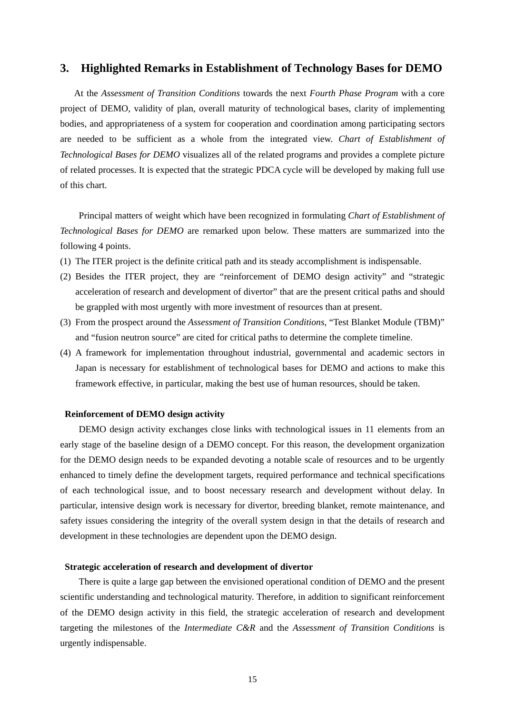### **3. Highlighted Remarks in Establishment of Technology Bases for DEMO**

 At the *Assessment of Transition Conditions* towards the next *Fourth Phase Program* with a core project of DEMO, validity of plan, overall maturity of technological bases, clarity of implementing bodies, and appropriateness of a system for cooperation and coordination among participating sectors are needed to be sufficient as a whole from the integrated view. *Chart of Establishment of Technological Bases for DEMO* visualizes all of the related programs and provides a complete picture of related processes. It is expected that the strategic PDCA cycle will be developed by making full use of this chart.

 Principal matters of weight which have been recognized in formulating *Chart of Establishment of Technological Bases for DEMO* are remarked upon below. These matters are summarized into the following 4 points.

- (1) The ITER project is the definite critical path and its steady accomplishment is indispensable.
- (2) Besides the ITER project, they are "reinforcement of DEMO design activity" and "strategic acceleration of research and development of divertor" that are the present critical paths and should be grappled with most urgently with more investment of resources than at present.
- (3) From the prospect around the *Assessment of Transition Conditions*, "Test Blanket Module (TBM)" and "fusion neutron source" are cited for critical paths to determine the complete timeline.
- (4) A framework for implementation throughout industrial, governmental and academic sectors in Japan is necessary for establishment of technological bases for DEMO and actions to make this framework effective, in particular, making the best use of human resources, should be taken.

### **Reinforcement of DEMO design activity**

DEMO design activity exchanges close links with technological issues in 11 elements from an early stage of the baseline design of a DEMO concept. For this reason, the development organization for the DEMO design needs to be expanded devoting a notable scale of resources and to be urgently enhanced to timely define the development targets, required performance and technical specifications of each technological issue, and to boost necessary research and development without delay. In particular, intensive design work is necessary for divertor, breeding blanket, remote maintenance, and safety issues considering the integrity of the overall system design in that the details of research and development in these technologies are dependent upon the DEMO design.

### **Strategic acceleration of research and development of divertor**

 There is quite a large gap between the envisioned operational condition of DEMO and the present scientific understanding and technological maturity. Therefore, in addition to significant reinforcement of the DEMO design activity in this field, the strategic acceleration of research and development targeting the milestones of the *Intermediate C&R* and the *Assessment of Transition Conditions* is urgently indispensable.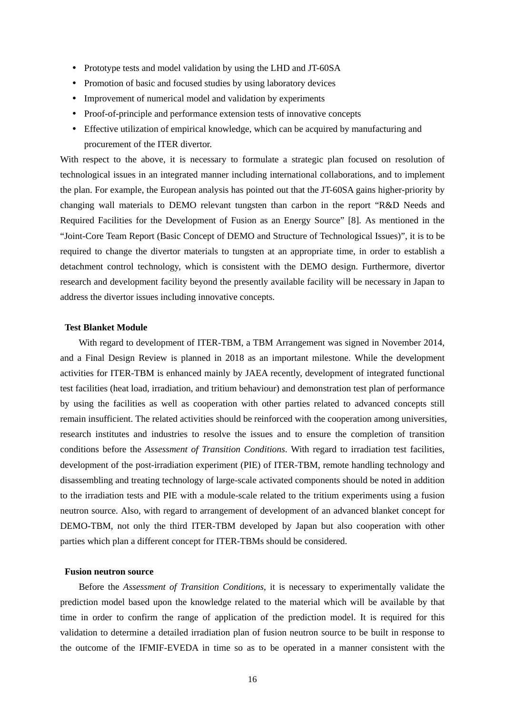- Prototype tests and model validation by using the LHD and JT-60SA
- Promotion of basic and focused studies by using laboratory devices
- Improvement of numerical model and validation by experiments
- Proof-of-principle and performance extension tests of innovative concepts
- Effective utilization of empirical knowledge, which can be acquired by manufacturing and procurement of the ITER divertor.

With respect to the above, it is necessary to formulate a strategic plan focused on resolution of technological issues in an integrated manner including international collaborations, and to implement the plan. For example, the European analysis has pointed out that the JT-60SA gains higher-priority by changing wall materials to DEMO relevant tungsten than carbon in the report "R&D Needs and Required Facilities for the Development of Fusion as an Energy Source" [8]. As mentioned in the "Joint-Core Team Report (Basic Concept of DEMO and Structure of Technological Issues)", it is to be required to change the divertor materials to tungsten at an appropriate time, in order to establish a detachment control technology, which is consistent with the DEMO design. Furthermore, divertor research and development facility beyond the presently available facility will be necessary in Japan to address the divertor issues including innovative concepts.

### **Test Blanket Module**

With regard to development of ITER-TBM, a TBM Arrangement was signed in November 2014, and a Final Design Review is planned in 2018 as an important milestone. While the development activities for ITER-TBM is enhanced mainly by JAEA recently, development of integrated functional test facilities (heat load, irradiation, and tritium behaviour) and demonstration test plan of performance by using the facilities as well as cooperation with other parties related to advanced concepts still remain insufficient. The related activities should be reinforced with the cooperation among universities, research institutes and industries to resolve the issues and to ensure the completion of transition conditions before the *Assessment of Transition Conditions*. With regard to irradiation test facilities, development of the post-irradiation experiment (PIE) of ITER-TBM, remote handling technology and disassembling and treating technology of large-scale activated components should be noted in addition to the irradiation tests and PIE with a module-scale related to the tritium experiments using a fusion neutron source. Also, with regard to arrangement of development of an advanced blanket concept for DEMO-TBM, not only the third ITER-TBM developed by Japan but also cooperation with other parties which plan a different concept for ITER-TBMs should be considered.

### **Fusion neutron source**

Before the *Assessment of Transition Conditions*, it is necessary to experimentally validate the prediction model based upon the knowledge related to the material which will be available by that time in order to confirm the range of application of the prediction model. It is required for this validation to determine a detailed irradiation plan of fusion neutron source to be built in response to the outcome of the IFMIF-EVEDA in time so as to be operated in a manner consistent with the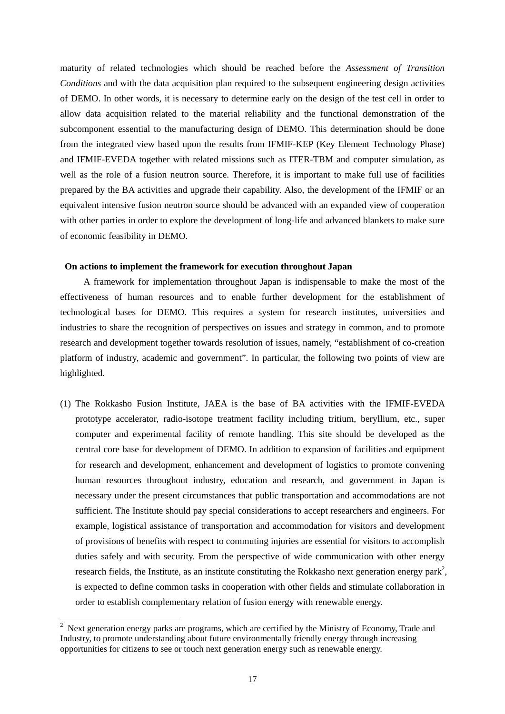maturity of related technologies which should be reached before the *Assessment of Transition Conditions* and with the data acquisition plan required to the subsequent engineering design activities of DEMO. In other words, it is necessary to determine early on the design of the test cell in order to allow data acquisition related to the material reliability and the functional demonstration of the subcomponent essential to the manufacturing design of DEMO. This determination should be done from the integrated view based upon the results from IFMIF-KEP (Key Element Technology Phase) and IFMIF-EVEDA together with related missions such as ITER-TBM and computer simulation, as well as the role of a fusion neutron source. Therefore, it is important to make full use of facilities prepared by the BA activities and upgrade their capability. Also, the development of the IFMIF or an equivalent intensive fusion neutron source should be advanced with an expanded view of cooperation with other parties in order to explore the development of long-life and advanced blankets to make sure of economic feasibility in DEMO.

### **On actions to implement the framework for execution throughout Japan**

A framework for implementation throughout Japan is indispensable to make the most of the effectiveness of human resources and to enable further development for the establishment of technological bases for DEMO. This requires a system for research institutes, universities and industries to share the recognition of perspectives on issues and strategy in common, and to promote research and development together towards resolution of issues, namely, "establishment of co-creation platform of industry, academic and government". In particular, the following two points of view are highlighted.

(1) The Rokkasho Fusion Institute, JAEA is the base of BA activities with the IFMIF-EVEDA prototype accelerator, radio-isotope treatment facility including tritium, beryllium, etc., super computer and experimental facility of remote handling. This site should be developed as the central core base for development of DEMO. In addition to expansion of facilities and equipment for research and development, enhancement and development of logistics to promote convening human resources throughout industry, education and research, and government in Japan is necessary under the present circumstances that public transportation and accommodations are not sufficient. The Institute should pay special considerations to accept researchers and engineers. For example, logistical assistance of transportation and accommodation for visitors and development of provisions of benefits with respect to commuting injuries are essential for visitors to accomplish duties safely and with security. From the perspective of wide communication with other energy research fields, the Institute, as an institute constituting the Rokkasho next generation energy park<sup>2</sup>, is expected to define common tasks in cooperation with other fields and stimulate collaboration in order to establish complementary relation of fusion energy with renewable energy.

-

<sup>2</sup> Next generation energy parks are programs, which are certified by the Ministry of Economy, Trade and Industry, to promote understanding about future environmentally friendly energy through increasing opportunities for citizens to see or touch next generation energy such as renewable energy.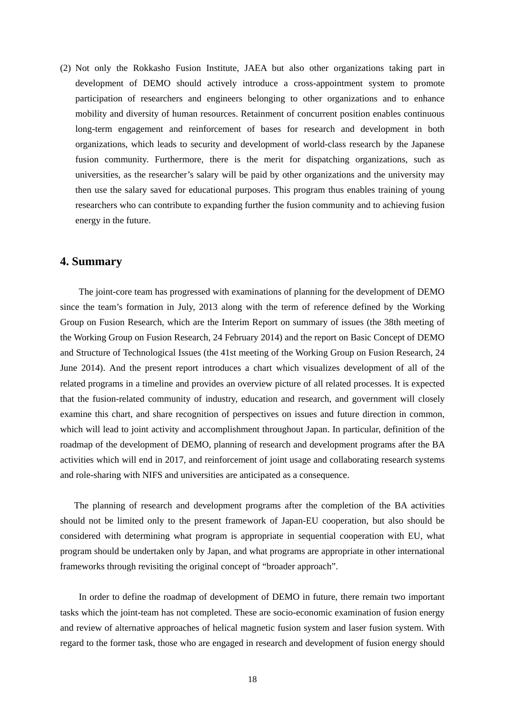(2) Not only the Rokkasho Fusion Institute, JAEA but also other organizations taking part in development of DEMO should actively introduce a cross-appointment system to promote participation of researchers and engineers belonging to other organizations and to enhance mobility and diversity of human resources. Retainment of concurrent position enables continuous long-term engagement and reinforcement of bases for research and development in both organizations, which leads to security and development of world-class research by the Japanese fusion community. Furthermore, there is the merit for dispatching organizations, such as universities, as the researcher's salary will be paid by other organizations and the university may then use the salary saved for educational purposes. This program thus enables training of young researchers who can contribute to expanding further the fusion community and to achieving fusion energy in the future.

### **4. Summary**

 The joint-core team has progressed with examinations of planning for the development of DEMO since the team's formation in July, 2013 along with the term of reference defined by the Working Group on Fusion Research, which are the Interim Report on summary of issues (the 38th meeting of the Working Group on Fusion Research, 24 February 2014) and the report on Basic Concept of DEMO and Structure of Technological Issues (the 41st meeting of the Working Group on Fusion Research, 24 June 2014). And the present report introduces a chart which visualizes development of all of the related programs in a timeline and provides an overview picture of all related processes. It is expected that the fusion-related community of industry, education and research, and government will closely examine this chart, and share recognition of perspectives on issues and future direction in common, which will lead to joint activity and accomplishment throughout Japan. In particular, definition of the roadmap of the development of DEMO, planning of research and development programs after the BA activities which will end in 2017, and reinforcement of joint usage and collaborating research systems and role-sharing with NIFS and universities are anticipated as a consequence.

 The planning of research and development programs after the completion of the BA activities should not be limited only to the present framework of Japan-EU cooperation, but also should be considered with determining what program is appropriate in sequential cooperation with EU, what program should be undertaken only by Japan, and what programs are appropriate in other international frameworks through revisiting the original concept of "broader approach".

 In order to define the roadmap of development of DEMO in future, there remain two important tasks which the joint-team has not completed. These are socio-economic examination of fusion energy and review of alternative approaches of helical magnetic fusion system and laser fusion system. With regard to the former task, those who are engaged in research and development of fusion energy should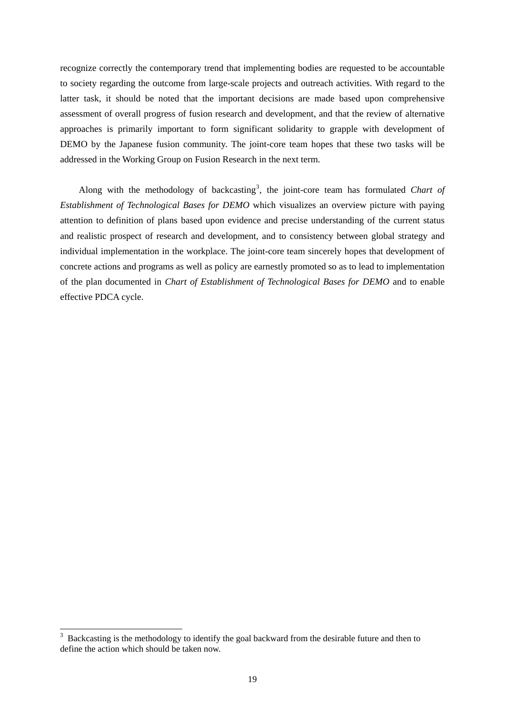recognize correctly the contemporary trend that implementing bodies are requested to be accountable to society regarding the outcome from large-scale projects and outreach activities. With regard to the latter task, it should be noted that the important decisions are made based upon comprehensive assessment of overall progress of fusion research and development, and that the review of alternative approaches is primarily important to form significant solidarity to grapple with development of DEMO by the Japanese fusion community. The joint-core team hopes that these two tasks will be addressed in the Working Group on Fusion Research in the next term.

Along with the methodology of backcasting<sup>3</sup>, the joint-core team has formulated *Chart of Establishment of Technological Bases for DEMO* which visualizes an overview picture with paying attention to definition of plans based upon evidence and precise understanding of the current status and realistic prospect of research and development, and to consistency between global strategy and individual implementation in the workplace. The joint-core team sincerely hopes that development of concrete actions and programs as well as policy are earnestly promoted so as to lead to implementation of the plan documented in *Chart of Establishment of Technological Bases for DEMO* and to enable effective PDCA cycle.

-

<sup>3</sup> Backcasting is the methodology to identify the goal backward from the desirable future and then to define the action which should be taken now.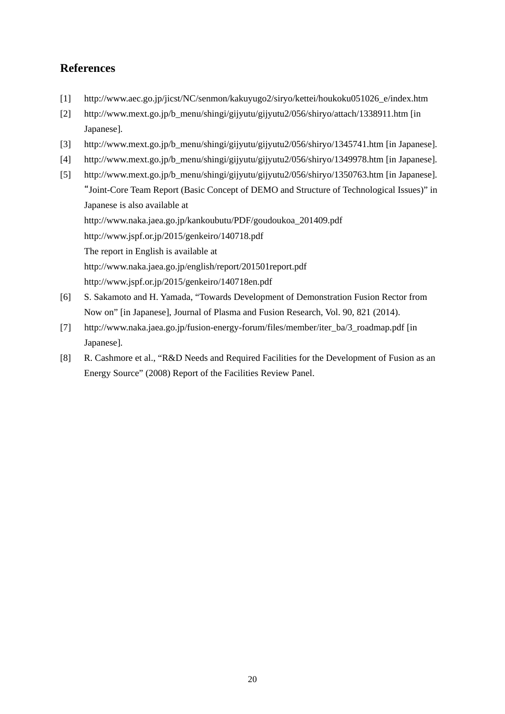## **References**

- [1] http://www.aec.go.jp/jicst/NC/senmon/kakuyugo2/siryo/kettei/houkoku051026\_e/index.htm
- [2] http://www.mext.go.jp/b\_menu/shingi/gijyutu/gijyutu2/056/shiryo/attach/1338911.htm [in Japanese].
- [3] http://www.mext.go.jp/b\_menu/shingi/gijyutu/gijyutu2/056/shiryo/1345741.htm [in Japanese].
- [4] http://www.mext.go.jp/b\_menu/shingi/gijyutu/gijyutu2/056/shiryo/1349978.htm [in Japanese].
- [5] http://www.mext.go.jp/b\_menu/shingi/gijyutu/gijyutu2/056/shiryo/1350763.htm [in Japanese]. "Joint-Core Team Report (Basic Concept of DEMO and Structure of Technological Issues)" in Japanese is also available at http://www.naka.jaea.go.jp/kankoubutu/PDF/goudoukoa\_201409.pdf http://www.jspf.or.jp/2015/genkeiro/140718.pdf The report in English is available at http://www.naka.jaea.go.jp/english/report/201501report.pdf http://www.jspf.or.jp/2015/genkeiro/140718en.pdf
- [6] S. Sakamoto and H. Yamada, "Towards Development of Demonstration Fusion Rector from Now on" [in Japanese], Journal of Plasma and Fusion Research, Vol. 90, 821 (2014).
- [7] http://www.naka.jaea.go.jp/fusion-energy-forum/files/member/iter\_ba/3\_roadmap.pdf [in Japanese].
- [8] R. Cashmore et al., "R&D Needs and Required Facilities for the Development of Fusion as an Energy Source" (2008) Report of the Facilities Review Panel.